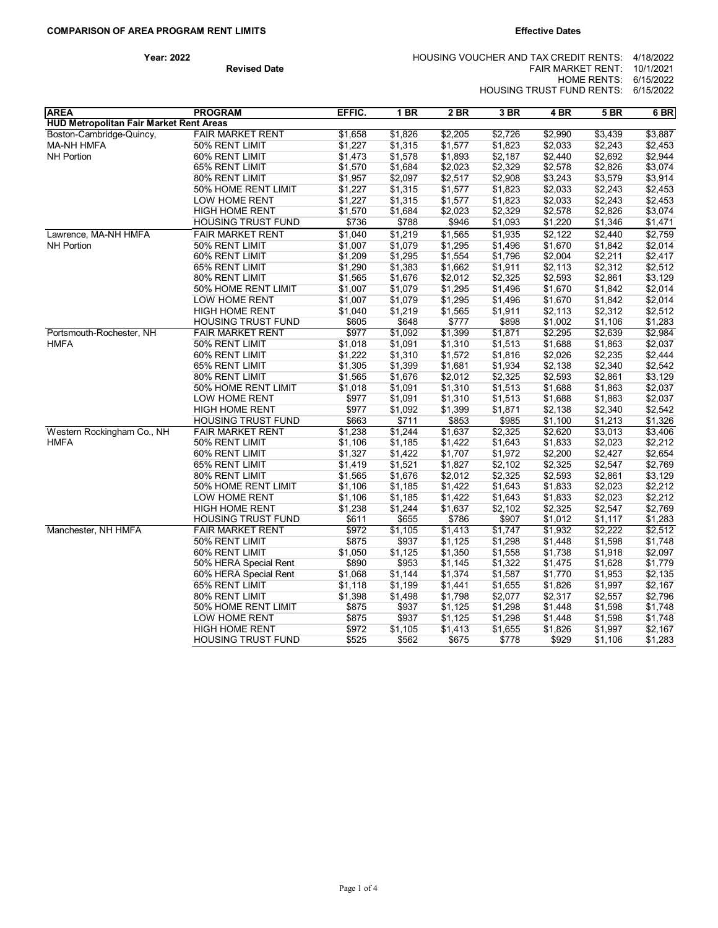| Year: 2022 |                     | HOUSING VOUCHER AND TAX CREDIT RENTS: 4/18/2022 |  |
|------------|---------------------|-------------------------------------------------|--|
|            | <b>Revised Date</b> | FAIR MARKET RENT: $10/1/2021$                   |  |
|            |                     | HOME RENTS: 6/15/2022                           |  |
|            |                     | HOUSING TRUST FUND RENTS: 6/15/2022             |  |

| <b>AREA</b>                             | <b>PROGRAM</b>            | EFFIC.  | 1 BR    | 2BR     | 3 BR    | 4 BR    | 5B      | 6 BR    |
|-----------------------------------------|---------------------------|---------|---------|---------|---------|---------|---------|---------|
| HUD Metropolitan Fair Market Rent Areas |                           |         |         |         |         |         |         |         |
| Boston-Cambridge-Quincy,                | <b>FAIR MARKET RENT</b>   | \$1,658 | \$1,826 | \$2,205 | \$2,726 | \$2,990 | \$3,439 | \$3,887 |
| <b>MA-NH HMFA</b>                       | 50% RENT LIMIT            | \$1,227 | \$1,315 | \$1,577 | \$1,823 | \$2,033 | \$2,243 | \$2,453 |
| <b>NH Portion</b>                       | 60% RENT LIMIT            | \$1,473 | \$1,578 | \$1,893 | \$2,187 | \$2,440 | \$2,692 | \$2,944 |
|                                         | 65% RENT LIMIT            | \$1,570 | \$1,684 | \$2,023 | \$2,329 | \$2,578 | \$2,826 | \$3,074 |
|                                         | 80% RENT LIMIT            | \$1,957 | \$2,097 | \$2,517 | \$2,908 | \$3,243 | \$3,579 | \$3,914 |
|                                         | 50% HOME RENT LIMIT       | \$1,227 | \$1,315 | \$1,577 | \$1,823 | \$2,033 | \$2,243 | \$2,453 |
|                                         | LOW HOME RENT             | \$1,227 | \$1,315 | \$1,577 | \$1,823 | \$2,033 | \$2,243 | \$2,453 |
|                                         | <b>HIGH HOME RENT</b>     | \$1,570 | \$1,684 | \$2,023 | \$2,329 | \$2,578 | \$2,826 | \$3,074 |
|                                         | <b>HOUSING TRUST FUND</b> | \$736   | \$788   | \$946   | \$1,093 | \$1,220 | \$1,346 | \$1,471 |
| Lawrence, MA-NH HMFA                    | <b>FAIR MARKET RENT</b>   | \$1,040 | \$1,219 | \$1,565 | \$1,935 | \$2,122 | \$2,440 | \$2,759 |
| <b>NH Portion</b>                       | 50% RENT LIMIT            | \$1,007 | \$1,079 | \$1,295 | \$1,496 | \$1,670 | \$1,842 | \$2,014 |
|                                         | 60% RENT LIMIT            | \$1,209 | \$1,295 | \$1,554 | \$1,796 | \$2,004 | \$2,211 | \$2,417 |
|                                         | 65% RENT LIMIT            | \$1,290 | \$1,383 | \$1,662 | \$1,911 | \$2,113 | \$2,312 | \$2,512 |
|                                         | 80% RENT LIMIT            | \$1,565 | \$1,676 | \$2,012 | \$2,325 | \$2,593 | \$2,861 | \$3,129 |
|                                         | 50% HOME RENT LIMIT       | \$1,007 | \$1,079 | \$1,295 | \$1,496 | \$1,670 | \$1,842 | \$2,014 |
|                                         | LOW HOME RENT             | \$1,007 | \$1,079 | \$1,295 | \$1,496 | \$1,670 | \$1,842 | \$2,014 |
|                                         | <b>HIGH HOME RENT</b>     | \$1,040 | \$1,219 | \$1,565 | \$1,911 | \$2,113 | \$2,312 | \$2,512 |
|                                         | <b>HOUSING TRUST FUND</b> | \$605   | \$648   | \$777   | \$898   | \$1,002 | \$1,106 | \$1,283 |
| Portsmouth-Rochester, NH                | <b>FAIR MARKET RENT</b>   | \$977   | \$1,092 | \$1,399 | \$1,871 | \$2,295 | \$2,639 | \$2,984 |
| HMFA                                    | 50% RENT LIMIT            | \$1,018 | \$1,091 | \$1,310 | \$1,513 | \$1,688 | \$1,863 | \$2,037 |
|                                         | 60% RENT LIMIT            | \$1,222 | \$1,310 | \$1,572 | \$1,816 | \$2,026 | \$2,235 | \$2,444 |
|                                         | 65% RENT LIMIT            | \$1,305 | \$1,399 | \$1,681 | \$1,934 | \$2,138 | \$2,340 | \$2,542 |
|                                         | 80% RENT LIMIT            | \$1,565 | \$1,676 | \$2,012 | \$2,325 | \$2,593 | \$2,861 | \$3,129 |
|                                         | 50% HOME RENT LIMIT       | \$1,018 | \$1,091 | \$1,310 | \$1,513 | \$1,688 | \$1,863 | \$2,037 |
|                                         | LOW HOME RENT             | \$977   | \$1,091 | \$1,310 | \$1,513 | \$1,688 | \$1,863 | \$2,037 |
|                                         | <b>HIGH HOME RENT</b>     | \$977   | \$1,092 | \$1,399 | \$1,871 | \$2,138 | \$2,340 | \$2,542 |
|                                         | <b>HOUSING TRUST FUND</b> | \$663   | \$711   | \$853   | \$985   | \$1,100 | \$1,213 | \$1,326 |
| Western Rockingham Co., NH              | <b>FAIR MARKET RENT</b>   | \$1,238 | \$1,244 | \$1,637 | \$2,325 | \$2,620 | \$3,013 | \$3,406 |
| HMFA                                    | 50% RENT LIMIT            | \$1,106 | \$1,185 | \$1,422 | \$1,643 | \$1,833 | \$2,023 | \$2,212 |
|                                         | 60% RENT LIMIT            | \$1,327 | \$1,422 | \$1,707 | \$1,972 | \$2,200 | \$2,427 | \$2,654 |
|                                         | 65% RENT LIMIT            | \$1,419 | \$1,521 | \$1,827 | \$2,102 | \$2,325 | \$2,547 | \$2,769 |
|                                         | 80% RENT LIMIT            | \$1,565 | \$1,676 | \$2,012 | \$2,325 | \$2,593 | \$2,861 | \$3,129 |
|                                         | 50% HOME RENT LIMIT       | \$1,106 | \$1,185 | \$1,422 | \$1,643 | \$1,833 | \$2,023 | \$2,212 |
|                                         | LOW HOME RENT             | \$1,106 | \$1,185 | \$1,422 | \$1,643 | \$1,833 | \$2,023 | \$2,212 |
|                                         | <b>HIGH HOME RENT</b>     | \$1,238 | \$1,244 | \$1,637 | \$2,102 | \$2,325 | \$2,547 | \$2,769 |
|                                         | <b>HOUSING TRUST FUND</b> | \$611   | \$655   | \$786   | \$907   | \$1,012 | \$1,117 | \$1,283 |
| Manchester, NH HMFA                     | <b>FAIR MARKET RENT</b>   | \$972   | \$1,105 | \$1,413 | \$1,747 | \$1,932 | \$2,222 | \$2,512 |
|                                         | 50% RENT LIMIT            | \$875   | \$937   | \$1,125 | \$1,298 | \$1,448 | \$1,598 | \$1,748 |
|                                         | 60% RENT LIMIT            | \$1,050 | \$1,125 | \$1,350 | \$1,558 | \$1,738 | \$1,918 | \$2,097 |
|                                         | 50% HERA Special Rent     | \$890   | \$953   | \$1,145 | \$1,322 | \$1,475 | \$1,628 | \$1,779 |
|                                         | 60% HERA Special Rent     | \$1,068 | \$1,144 | \$1,374 | \$1,587 | \$1,770 | \$1,953 | \$2,135 |
|                                         | 65% RENT LIMIT            | \$1,118 | \$1,199 | \$1,441 | \$1,655 | \$1,826 | \$1,997 | \$2,167 |
|                                         | 80% RENT LIMIT            | \$1,398 | \$1,498 | \$1,798 | \$2,077 | \$2,317 | \$2,557 | \$2,796 |
|                                         | 50% HOME RENT LIMIT       | \$875   | \$937   | \$1,125 | \$1,298 | \$1,448 | \$1,598 | \$1,748 |
|                                         | LOW HOME RENT             | \$875   | \$937   | \$1,125 | \$1,298 | \$1,448 | \$1,598 | \$1,748 |
|                                         | <b>HIGH HOME RENT</b>     | \$972   | \$1,105 | \$1,413 | \$1,655 | \$1,826 | \$1,997 | \$2,167 |
|                                         | <b>HOUSING TRUST FUND</b> | \$525   | \$562   | \$675   | \$778   | \$929   | \$1,106 | \$1,283 |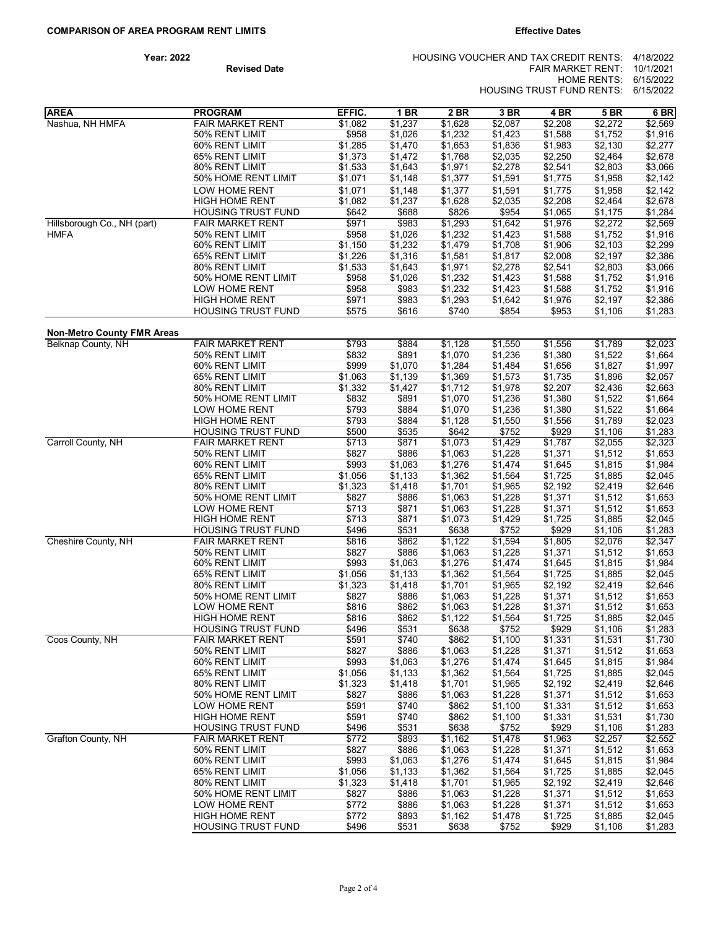| Year: 2022 |                     | HOUSING VOUCHER AND TAX CREDIT RENTS: 4/18/2022 |  |
|------------|---------------------|-------------------------------------------------|--|
|            | <b>Revised Date</b> | FAIR MARKET RENT: $10/1/2021$                   |  |
|            |                     | HOME RENTS: 6/15/2022                           |  |
|            |                     | HOUSING TRUST FUND RENTS: 6/15/2022             |  |

| <b>AREA</b>                       | <b>PROGRAM</b>                        | EFFIC.           | <b>1 BR</b>        | 2 BR               | 3 BR               | 4 BR               | <b>5 BR</b>        | 6 BR               |
|-----------------------------------|---------------------------------------|------------------|--------------------|--------------------|--------------------|--------------------|--------------------|--------------------|
| Nashua, NH HMFA                   | <b>FAIR MARKET RENT</b>               | \$1,082          | \$1,237            | \$1,628            | \$2,087            | \$2,208            | \$2,272            | \$2,569            |
|                                   | 50% RENT LIMIT                        | \$958            | \$1,026            | \$1,232            | \$1,423            | \$1,588            | \$1,752            | \$1,916            |
|                                   | 60% RENT LIMIT                        | \$1,285          | \$1,470            | \$1,653            | \$1,836            | \$1,983            | \$2,130            | \$2,277            |
|                                   | 65% RENT LIMIT                        | \$1,373          | \$1,472            | \$1,768            | \$2,035            | \$2,250            | \$2,464            | \$2,678            |
|                                   | 80% RENT LIMIT                        | \$1,533          | \$1,643            | \$1,971            | \$2,278            | \$2,541            | \$2,803            | \$3,066            |
|                                   | 50% HOME RENT LIMIT                   | \$1,071          | \$1,148            | \$1,377            | \$1,591            | \$1,775            | \$1,958            | \$2,142            |
|                                   | LOW HOME RENT                         | \$1,071          | \$1,148            | \$1,377            | \$1,591            | \$1,775            | \$1,958            | \$2,142            |
|                                   | <b>HIGH HOME RENT</b>                 | \$1,082          | \$1,237            | \$1,628            | \$2,035            | \$2,208            | \$2,464            | \$2,678            |
|                                   | <b>HOUSING TRUST FUND</b>             | \$642            | \$688              | \$826              | \$954              | \$1,065            | \$1,175            | \$1,284            |
| Hillsborough Co., NH (part)       | <b>FAIR MARKET RENT</b>               | \$971            | \$983              | \$1,293            | \$1,642            | \$1,976            | \$2,272            | \$2,569            |
| HMFA                              | 50% RENT LIMIT                        | \$958            | \$1,026            | \$1,232            | \$1,423            | \$1,588            | \$1,752            | \$1,916            |
|                                   | 60% RENT LIMIT                        | \$1,150          | \$1,232            | \$1,479            | \$1,708            | \$1,906<br>\$2,008 | \$2,103            | \$2,299            |
|                                   | 65% RENT LIMIT<br>80% RENT LIMIT      | \$1,226          | \$1,316            | \$1,581            | \$1,817            |                    | \$2,197            | \$2,386            |
|                                   | 50% HOME RENT LIMIT                   | \$1,533<br>\$958 | \$1,643<br>\$1,026 | \$1,971<br>\$1,232 | \$2,278<br>\$1,423 | \$2,541<br>\$1,588 | \$2,803<br>\$1,752 | \$3,066<br>\$1,916 |
|                                   | LOW HOME RENT                         | \$958            | \$983              | \$1,232            | \$1,423            | \$1,588            | \$1,752            | \$1,916            |
|                                   | <b>HIGH HOME RENT</b>                 | \$971            | \$983              | \$1,293            | \$1,642            | \$1,976            | \$2,197            | \$2,386            |
|                                   | HOUSING TRUST FUND                    | \$575            | \$616              | \$740              | \$854              | \$953              | \$1,106            | \$1,283            |
|                                   |                                       |                  |                    |                    |                    |                    |                    |                    |
| <b>Non-Metro County FMR Areas</b> | <b>FAIR MARKET RENT</b>               |                  |                    |                    |                    |                    |                    |                    |
| Belknap County, NH                |                                       | \$793            | \$884              | \$1,128            | \$1,550            | \$1,556            | \$1,789            | \$2,023            |
|                                   | 50% RENT LIMIT                        | \$832            | \$891              | \$1,070            | \$1,236            | \$1,380            | \$1,522            | \$1,664            |
|                                   | 60% RENT LIMIT<br>65% RENT LIMIT      | \$999<br>\$1,063 | \$1,070<br>\$1,139 | \$1,284<br>\$1,369 | \$1,484<br>\$1,573 | \$1,656<br>\$1,735 | \$1,827<br>\$1,896 | \$1,997<br>\$2,057 |
|                                   | 80% RENT LIMIT                        | \$1,332          | \$1,427            | \$1,712            | \$1,978            | \$2,207            | \$2,436            | \$2,663            |
|                                   | 50% HOME RENT LIMIT                   | \$832            | \$891              | \$1,070            | \$1,236            | \$1,380            | \$1,522            | \$1,664            |
|                                   | LOW HOME RENT                         | \$793            | \$884              | \$1,070            | \$1,236            | \$1,380            | \$1,522            | \$1,664            |
|                                   | <b>HIGH HOME RENT</b>                 | \$793            | \$884              | \$1,128            | \$1,550            | \$1,556            | \$1,789            | \$2,023            |
|                                   | <b>HOUSING TRUST FUND</b>             | \$500            | \$535              | \$642              | \$752              | \$929              | \$1,106            | \$1,283            |
| Carroll County, NH                | <b>FAIR MARKET RENT</b>               | \$713            | \$871              | \$1,073            | \$1,429            | \$1,787            | \$2,055            | \$2,323            |
|                                   | 50% RENT LIMIT                        | \$827            | \$886              | \$1,063            | \$1,228            | \$1,371            | \$1,512            | \$1,653            |
|                                   | 60% RENT LIMIT                        | \$993            | \$1,063            | \$1,276            | \$1,474            | \$1,645            | \$1,815            | \$1,984            |
|                                   | 65% RENT LIMIT                        | \$1,056          | \$1,133            | \$1,362            | \$1,564            | \$1,725            | \$1,885            | \$2,045            |
|                                   | 80% RENT LIMIT                        | \$1,323          | \$1,418            | \$1,701            | \$1,965            | \$2,192            | \$2,419            | \$2,646            |
|                                   | 50% HOME RENT LIMIT                   | \$827            | \$886              | \$1,063            | \$1,228            | \$1,371            | \$1,512            | \$1,653            |
|                                   | LOW HOME RENT                         | \$713            | \$871              | \$1,063            | \$1,228            | \$1,371            | \$1,512            | \$1,653            |
|                                   | <b>HIGH HOME RENT</b>                 | \$713            | \$871              | \$1,073            | \$1,429            | \$1,725            | \$1,885            | \$2,045            |
|                                   | <b>HOUSING TRUST FUND</b>             | \$496            | \$531              | \$638              | \$752              | \$929              | \$1,106            | \$1,283            |
| Cheshire County, NH               | <b>FAIR MARKET RENT</b>               | \$816            | \$862              | \$1,122            | \$1,594            | \$1,805            | \$2,076            | \$2,347            |
|                                   | 50% RENT LIMIT                        | \$827            | \$886              | \$1,063            | \$1,228            | \$1,371            | \$1,512            | \$1,653            |
|                                   | 60% RENT LIMIT                        | \$993            | \$1,063            | \$1,276            | \$1,474            | \$1,645            | \$1,815            | \$1,984            |
|                                   | 65% RENT LIMIT                        | \$1,056          | \$1,133            | \$1,362            | \$1,564            | \$1,725            | \$1,885            | \$2,045            |
|                                   | 80% RENT LIMIT<br>50% HOME RENT LIMIT | \$1,323          | \$1,418            | \$1,701            | \$1,965            | \$2,192<br>\$1,371 | \$2,419            | \$2,646            |
|                                   | LOW HOME RENT                         | \$827<br>\$816   | \$886<br>\$862     | \$1,063<br>\$1,063 | \$1,228<br>\$1,228 | \$1,371            | \$1,512<br>\$1,512 | \$1,653<br>\$1,653 |
|                                   | <b>HIGH HOME RENT</b>                 | \$816            | \$862              | \$1,122            | \$1,564            | \$1,725            | \$1,885            | \$2,045            |
|                                   | <b>HOUSING TRUST FUND</b>             | \$496            | \$531              | \$638              | \$752              | \$929              | \$1,106            | \$1,283            |
| Coos County, NH                   | <b>FAIR MARKET RENT</b>               | \$591            | \$740              | \$862              | \$1,100            | \$1,331            | \$1,531            | \$1,730            |
|                                   | 50% RENT LIMIT                        | \$827            | \$886              | \$1,063            | \$1,228            | \$1,371            | \$1,512            | \$1,653            |
|                                   | 60% RENT LIMIT                        | \$993            | \$1,063            | \$1,276            | \$1,474            | \$1,645            | \$1,815            | \$1,984            |
|                                   | 65% RENT LIMIT                        | \$1,056          | \$1,133            | \$1,362            | \$1,564            | \$1,725            | \$1,885            | \$2,045            |
|                                   | 80% RENT LIMIT                        | \$1,323          | \$1,418            | \$1,701            | \$1,965            | \$2,192            | \$2,419            | \$2,646            |
|                                   | 50% HOME RENT LIMIT                   | \$827            | \$886              | \$1,063            | \$1,228            | \$1,371            | \$1,512            | \$1,653            |
|                                   | LOW HOME RENT                         | \$591            | \$740              | \$862              | \$1,100            | \$1,331            | \$1,512            | \$1,653            |
|                                   | <b>HIGH HOME RENT</b>                 | \$591            | \$740              | \$862              | \$1,100            | \$1,331            | \$1,531            | \$1,730            |
|                                   | <b>HOUSING TRUST FUND</b>             | \$496            | \$531              | \$638              | \$752              | \$929              | \$1,106            | \$1,283            |
| Grafton County, NH                | <b>FAIR MARKET RENT</b>               | \$772            | \$893              | \$1,162            | \$1,478            | \$1,963            | \$2,257            | \$2,552            |
|                                   | 50% RENT LIMIT                        | \$827            | \$886              | \$1,063            | \$1,228            | \$1,371            | \$1,512            | \$1,653            |
|                                   | 60% RENT LIMIT                        | \$993            | \$1,063            | \$1,276            | \$1,474            | \$1,645            | \$1,815            | \$1,984            |
|                                   | 65% RENT LIMIT                        | \$1,056          | \$1,133            | \$1,362            | \$1,564            | \$1,725            | \$1,885            | \$2,045            |
|                                   | 80% RENT LIMIT                        | \$1,323          | \$1,418            | \$1,701            | \$1,965            | \$2,192            | \$2,419            | \$2,646            |
|                                   | 50% HOME RENT LIMIT                   | \$827            | \$886              | \$1,063            | \$1,228            | \$1,371            | \$1,512            | \$1,653            |
|                                   | LOW HOME RENT                         | \$772            | \$886              | \$1,063            | \$1,228            | \$1,371            | \$1,512            | \$1,653            |
|                                   | <b>HIGH HOME RENT</b>                 | \$772            | \$893              | \$1,162            | \$1,478            | \$1,725            | \$1,885            | \$2,045            |
|                                   | <b>HOUSING TRUST FUND</b>             | \$496            | \$531              | \$638              | \$752              | \$929              | \$1,106            | \$1,283            |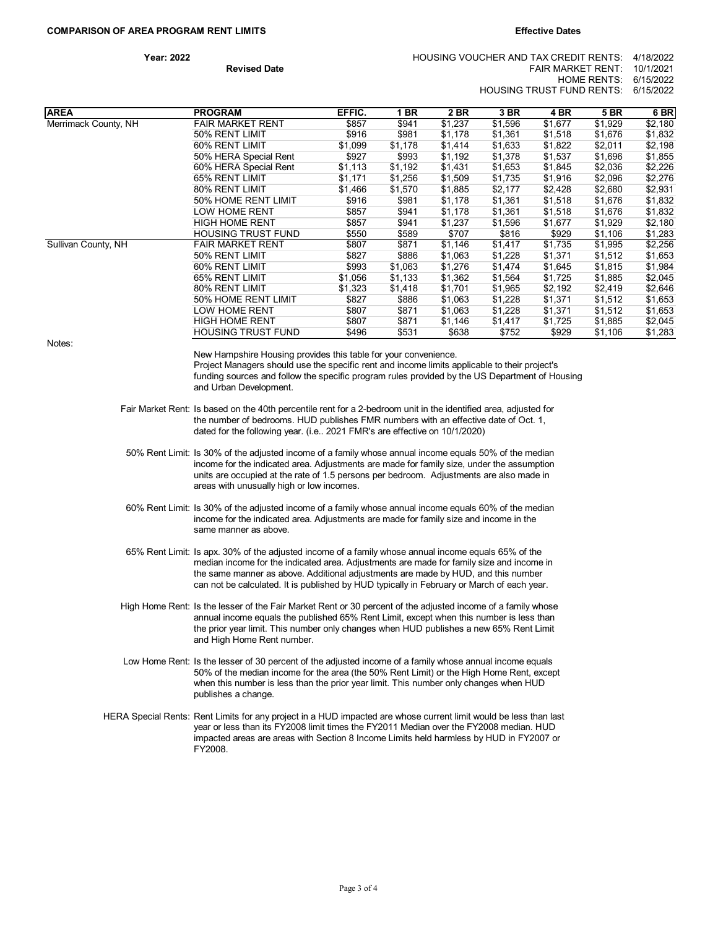| Year: 2022          | HOUSING VOUCHER AND TAX CREDIT RENTS: 4/18/2022 |  |
|---------------------|-------------------------------------------------|--|
| <b>Revised Date</b> | FAIR MARKET RENT: $10/1/2021$                   |  |
|                     | HOME RENTS: 6/15/2022                           |  |
|                     | HOUSING TRUST FUND RENTS: 6/15/2022             |  |

| <b>AREA</b>          | <b>PROGRAM</b>                                                                                                                                                                                                                                                                                                                                                                      | EFFIC.  | 1 BR    | 2 BR    | 3 BR    | 4 BR    | <b>5 BR</b> | 6 BR    |
|----------------------|-------------------------------------------------------------------------------------------------------------------------------------------------------------------------------------------------------------------------------------------------------------------------------------------------------------------------------------------------------------------------------------|---------|---------|---------|---------|---------|-------------|---------|
| Merrimack County, NH | <b>FAIR MARKET RENT</b>                                                                                                                                                                                                                                                                                                                                                             | \$857   | \$941   | \$1,237 | \$1,596 | \$1,677 | \$1,929     | \$2,180 |
|                      | 50% RENT LIMIT                                                                                                                                                                                                                                                                                                                                                                      | \$916   | \$981   | \$1,178 | \$1,361 | \$1,518 | \$1,676     | \$1,832 |
|                      | 60% RENT LIMIT                                                                                                                                                                                                                                                                                                                                                                      | \$1,099 | \$1,178 | \$1,414 | \$1,633 | \$1,822 | \$2,011     | \$2,198 |
|                      | 50% HERA Special Rent                                                                                                                                                                                                                                                                                                                                                               | \$927   | \$993   | \$1,192 | \$1,378 | \$1,537 | \$1,696     | \$1,855 |
|                      | 60% HERA Special Rent                                                                                                                                                                                                                                                                                                                                                               | \$1,113 | \$1,192 | \$1,431 | \$1,653 | \$1,845 | \$2,036     | \$2,226 |
|                      | 65% RENT LIMIT                                                                                                                                                                                                                                                                                                                                                                      | \$1,171 | \$1,256 | \$1,509 | \$1,735 | \$1,916 | \$2,096     | \$2,276 |
|                      | 80% RENT LIMIT                                                                                                                                                                                                                                                                                                                                                                      | \$1,466 | \$1,570 | \$1,885 | \$2,177 | \$2,428 | \$2,680     | \$2,931 |
|                      | 50% HOME RENT LIMIT                                                                                                                                                                                                                                                                                                                                                                 | \$916   | \$981   | \$1,178 | \$1,361 | \$1,518 | \$1,676     | \$1,832 |
|                      | LOW HOME RENT                                                                                                                                                                                                                                                                                                                                                                       | \$857   | \$941   | \$1,178 | \$1,361 | \$1,518 | \$1,676     | \$1,832 |
|                      | <b>HIGH HOME RENT</b>                                                                                                                                                                                                                                                                                                                                                               | \$857   | \$941   | \$1,237 | \$1,596 | \$1,677 | \$1,929     | \$2,180 |
|                      | <b>HOUSING TRUST FUND</b>                                                                                                                                                                                                                                                                                                                                                           | \$550   | \$589   | \$707   | \$816   | \$929   | \$1,106     | \$1,283 |
| Sullivan County, NH  | <b>FAIR MARKET RENT</b>                                                                                                                                                                                                                                                                                                                                                             | \$807   | \$871   | \$1,146 | \$1,417 | \$1,735 | \$1,995     | \$2,256 |
|                      | 50% RENT LIMIT                                                                                                                                                                                                                                                                                                                                                                      | \$827   | \$886   | \$1,063 | \$1,228 | \$1,371 | \$1,512     | \$1,653 |
|                      | 60% RENT LIMIT                                                                                                                                                                                                                                                                                                                                                                      | \$993   | \$1,063 | \$1,276 | \$1,474 | \$1,645 | \$1,815     | \$1,984 |
|                      | 65% RENT LIMIT                                                                                                                                                                                                                                                                                                                                                                      | \$1,056 | \$1,133 | \$1,362 | \$1,564 | \$1,725 | \$1,885     | \$2,045 |
|                      | 80% RENT LIMIT                                                                                                                                                                                                                                                                                                                                                                      | \$1,323 | \$1,418 | \$1,701 | \$1,965 | \$2,192 | \$2,419     | \$2,646 |
|                      | 50% HOME RENT LIMIT                                                                                                                                                                                                                                                                                                                                                                 | \$827   | \$886   | \$1,063 | \$1,228 | \$1,371 | \$1,512     | \$1,653 |
|                      | LOW HOME RENT                                                                                                                                                                                                                                                                                                                                                                       | \$807   | \$871   | \$1,063 | \$1,228 | \$1,371 | \$1,512     | \$1,653 |
|                      | <b>HIGH HOME RENT</b>                                                                                                                                                                                                                                                                                                                                                               | \$807   | \$871   | \$1,146 | \$1,417 | \$1,725 | \$1,885     | \$2,045 |
| Notes:               | <b>HOUSING TRUST FUND</b>                                                                                                                                                                                                                                                                                                                                                           | \$496   | \$531   | \$638   | \$752   | \$929   | \$1,106     | \$1,283 |
|                      | New Hampshire Housing provides this table for your convenience.<br>Project Managers should use the specific rent and income limits applicable to their project's<br>funding sources and follow the specific program rules provided by the US Department of Housing<br>and Urban Development.                                                                                        |         |         |         |         |         |             |         |
|                      | Fair Market Rent: Is based on the 40th percentile rent for a 2-bedroom unit in the identified area, adjusted for<br>the number of bedrooms. HUD publishes FMR numbers with an effective date of Oct. 1,<br>dated for the following year. (i.e 2021 FMR's are effective on 10/1/2020)                                                                                                |         |         |         |         |         |             |         |
|                      | 50% Rent Limit: Is 30% of the adjusted income of a family whose annual income equals 50% of the median<br>income for the indicated area. Adjustments are made for family size, under the assumption<br>units are occupied at the rate of 1.5 persons per bedroom. Adjustments are also made in<br>areas with unusually high or low incomes.                                         |         |         |         |         |         |             |         |
|                      | 60% Rent Limit: Is 30% of the adjusted income of a family whose annual income equals 60% of the median<br>income for the indicated area. Adjustments are made for family size and income in the<br>same manner as above.                                                                                                                                                            |         |         |         |         |         |             |         |
|                      | 65% Rent Limit: Is apx. 30% of the adjusted income of a family whose annual income equals 65% of the<br>median income for the indicated area. Adjustments are made for family size and income in<br>the same manner as above. Additional adjustments are made by HUD, and this number<br>can not be calculated. It is published by HUD typically in February or March of each year. |         |         |         |         |         |             |         |
|                      | High Home Rent: Is the lesser of the Fair Market Rent or 30 percent of the adjusted income of a family whose<br>annual income equals the published 65% Rent Limit, except when this number is less than<br>the prior year limit. This number only changes when HUD publishes a new 65% Rent Limit<br>and High Home Rent number.                                                     |         |         |         |         |         |             |         |
|                      | Low Home Rent: Is the lesser of 30 percent of the adjusted income of a family whose annual income equals<br>50% of the median income for the area (the 50% Rent Limit) or the High Home Rent, except<br>when this number is less than the prior year limit. This number only changes when HUD<br>publishes a change.                                                                |         |         |         |         |         |             |         |
|                      | HERA Special Rents: Rent Limits for any project in a HUD impacted are whose current limit would be less than last<br>year or less than its FY2008 limit times the FY2011 Median over the FY2008 median. HUD<br>impacted areas are areas with Section 8 Income Limits held harmless by HUD in FY2007 or<br>FY2008.                                                                   |         |         |         |         |         |             |         |